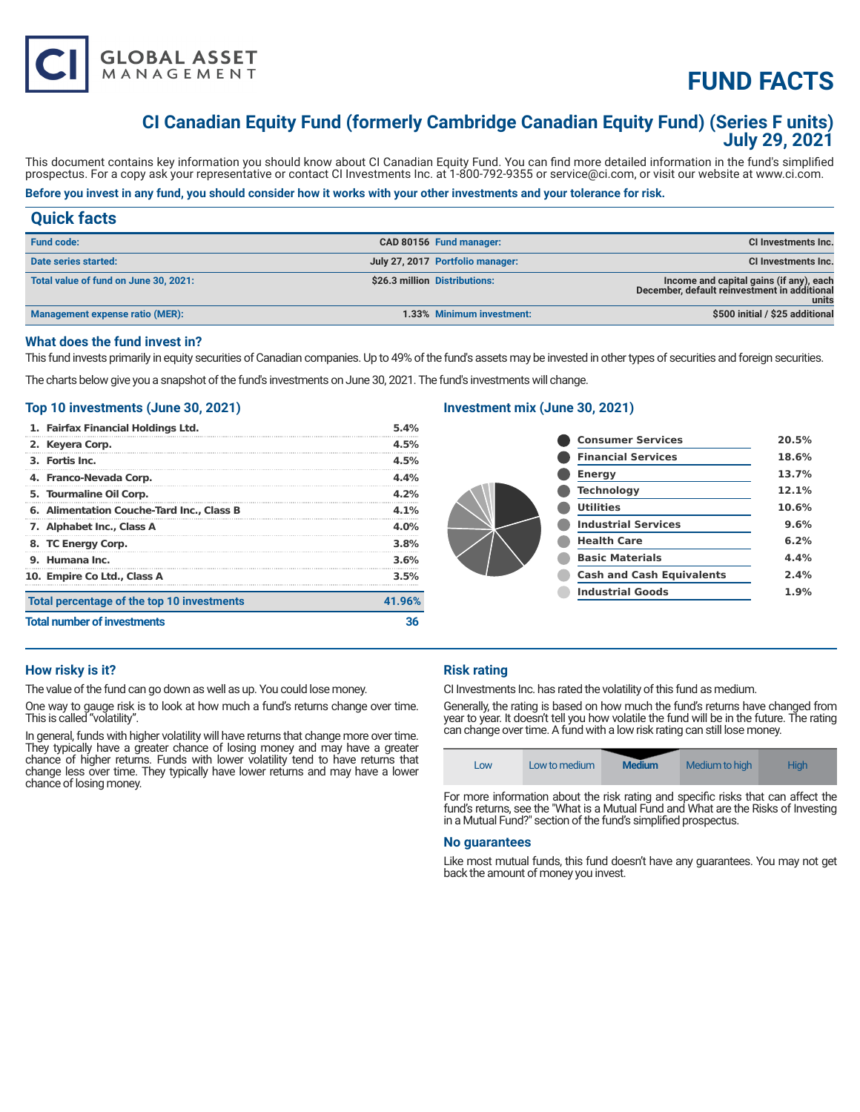

# **FUND FACTS**

# **CI Canadian Equity Fund (formerly Cambridge Canadian Equity Fund) (Series F units) July 29, 2021**

This document contains key information you should know about CI Canadian Equity Fund. You can find more detailed information in the fund's simplified prospectus. For a copy ask your representative or contact CI Investments Inc. at 1-800-792-9355 or service@ci.com, or visit our website at www.ci.com.

# **Before you invest in any fund, you should consider how it works with your other investments and your tolerance for risk.**

| <b>Quick facts</b>                    |                                  |                                                                                                  |
|---------------------------------------|----------------------------------|--------------------------------------------------------------------------------------------------|
| <b>Fund code:</b>                     | CAD 80156 Fund manager:          | <b>CI Investments Inc.</b>                                                                       |
| Date series started:                  | July 27, 2017 Portfolio manager: | <b>CI Investments Inc.</b>                                                                       |
| Total value of fund on June 30, 2021: | \$26.3 million Distributions:    | Income and capital gains (if any), each<br>December, default reinvestment in additional<br>units |
| Management expense ratio (MER):       | 1.33% Minimum investment:        | \$500 initial / \$25 additional                                                                  |

#### **What does the fund invest in?**

This fund invests primarily in equity securities of Canadian companies. Up to 49% of the fund's assets may be invested in other types of securities and foreign securities.

The charts below give you a snapshot of the fund's investments on June 30, 2021. The fund's investments will change.

### **Top 10 investments (June 30, 2021)**

| 1. Fairfax Financial Holdings Ltd.         | 5.4%    |
|--------------------------------------------|---------|
| 2. Keyera Corp.                            | 4.5%    |
| 3. Fortis Inc.                             | 4.5%    |
| 4. Franco-Nevada Corp.                     | 4.4%    |
| 5. Tourmaline Oil Corp.                    | 4.2%    |
| 6. Alimentation Couche-Tard Inc., Class B  | $4.1\%$ |
| 7. Alphabet Inc., Class A                  | $4.0\%$ |
| 8. TC Energy Corp.                         | 3.8%    |
| 9. Humana Inc.                             | 3.6%    |
| 10. Empire Co Ltd., Class A                | 3.5%    |
| Total percentage of the top 10 investments | 41.96%  |
| <b>Total number of investments</b>         |         |

# **Investment mix (June 30, 2021)**

|  | <b>Consumer Services</b>         | 20.5% |
|--|----------------------------------|-------|
|  | <b>Financial Services</b>        | 18.6% |
|  | <b>Energy</b>                    | 13.7% |
|  | <b>Technology</b>                | 12.1% |
|  | <b>Utilities</b>                 | 10.6% |
|  | <b>Industrial Services</b>       | 9.6%  |
|  | <b>Health Care</b>               | 6.2%  |
|  | <b>Basic Materials</b>           | 4.4%  |
|  | <b>Cash and Cash Equivalents</b> | 2.4%  |
|  | <b>Industrial Goods</b>          | 1.9%  |
|  |                                  |       |

# **How risky is it?**

The value of the fund can go down as well as up. You could lose money.

One way to gauge risk is to look at how much a fund's returns change over time. This is called "volatility".

In general, funds with higher volatility will have returns that change more over time. They typically have a greater chance of losing money and may have a greater chance of higher returns. Funds with lower volatility tend to have returns that change less over time. They typically have lower returns and may have a lower chance of losing money.

# **Risk rating**

CI Investments Inc. has rated the volatility of this fund as medium.

Generally, the rating is based on how much the fund's returns have changed from year to year. It doesn't tell you how volatile the fund will be in the future. The rating can change over time. A fund with a low risk rating can still lose money.

| LOW | Low to medium | <b>Medium</b> | Medium to high | Hiah |
|-----|---------------|---------------|----------------|------|
|     |               | .             |                | $-$  |

For more information about the risk rating and specific risks that can affect the fund's returns, see the "What is a Mutual Fund and What are the Risks of Investing in a Mutual Fund?" section of the fund's simplified prospectus.

#### **No guarantees**

Like most mutual funds, this fund doesn't have any guarantees. You may not get back the amount of money you invest.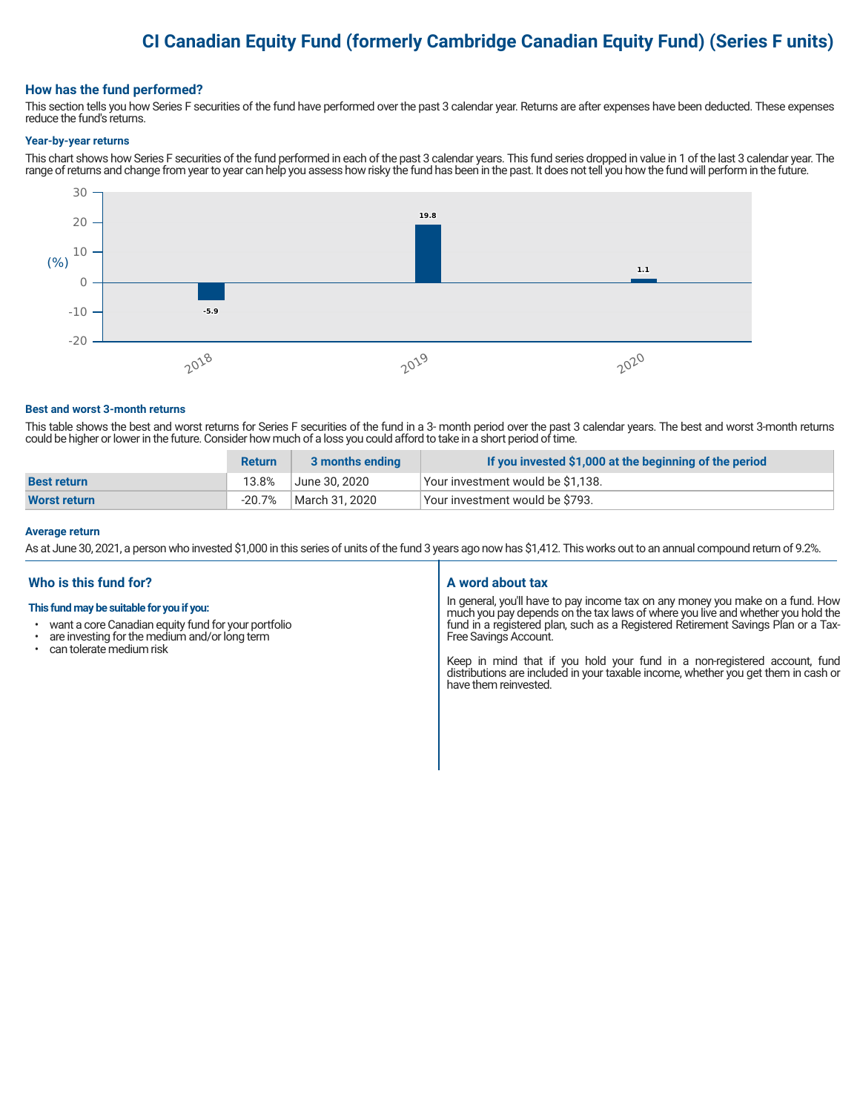# **CI Canadian Equity Fund (formerly Cambridge Canadian Equity Fund) (Series F units)**

#### **How has the fund performed?**

This section tells you how Series F securities of the fund have performed over the past 3 calendar year. Returns are after expenses have been deducted. These expenses reduce the fund's returns.

#### **Year-by-year returns**

This chart shows how Series F securities of the fund performed in each of the past 3 calendar years. This fund series dropped in value in 1 of the last 3 calendar year. The range of returns and change from year to year can help you assess how risky the fund has been in the past. It does not tell you how the fund will perform in the future.



#### **Best and worst 3-month returns**

This table shows the best and worst returns for Series F securities of the fund in a 3- month period over the past 3 calendar years. The best and worst 3-month returns could be higher or lower in the future. Consider how much of a loss you could afford to take in a short period of time.

|                     | <b>Return</b> | 3 months ending | If you invested \$1,000 at the beginning of the period |
|---------------------|---------------|-----------------|--------------------------------------------------------|
| <b>Best return</b>  | 13.8%         | June 30. 2020   | Vour investment would be \$1,138.                      |
| <b>Worst return</b> | -20.7%        | March 31, 2020  | Your investment would be \$793.                        |

#### **Average return**

As at June 30, 2021, a person who invested \$1,000 in this series of units of the fund 3 years ago now has \$1,412. This works out to an annual compound return of 9.2%.

# **Who is this fund for?**

#### **This fund may be suitable for you if you:**

- want a core Canadian equity fund for your portfolio
- $\cdot$  are investing for the medium and/or long term  $\cdot$  can telerate medium risk
- can tolerate medium risk

#### **A word about tax**

In general, you'll have to pay income tax on any money you make on a fund. How much you pay depends on the tax laws of where you live and whether you hold the fund in a registered plan, such as a Registered Retirement Savings Plan or a Tax-Free Savings Account.

Keep in mind that if you hold your fund in a non-registered account, fund distributions are included in your taxable income, whether you get them in cash or have them reinvested.